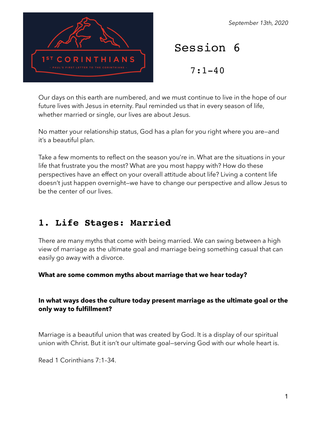

#### *September 13th, 2020*

Session 6

 $7:1-40$ 

Our days on this earth are numbered, and we must continue to live in the hope of our future lives with Jesus in eternity. Paul reminded us that in every season of life, whether married or single, our lives are about Jesus.

No matter your relationship status, God has a plan for you right where you are—and it's a beautiful plan.

Take a few moments to reflect on the season you're in. What are the situations in your life that frustrate you the most? What are you most happy with? How do these perspectives have an effect on your overall attitude about life? Living a content life doesn't just happen overnight—we have to change our perspective and allow Jesus to be the center of our lives.

# **1. Life Stages: Married**

There are many myths that come with being married. We can swing between a high view of marriage as the ultimate goal and marriage being something casual that can easily go away with a divorce.

**What are some common myths about marriage that we hear today?** 

## **In what ways does the culture today present marriage as the ultimate goal or the only way to fulfillment?**

Marriage is a beautiful union that was created by God. It is a display of our spiritual union with Christ. But it isn't our ultimate goal—serving God with our whole heart is.

Read 1 Corinthians 7:1–34.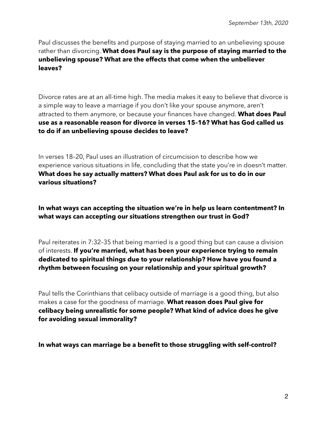Paul discusses the benefits and purpose of staying married to an unbelieving spouse rather than divorcing. **What does Paul say is the purpose of staying married to the unbelieving spouse? What are the effects that come when the unbeliever leaves?** 

Divorce rates are at an all-time high. The media makes it easy to believe that divorce is a simple way to leave a marriage if you don't like your spouse anymore, aren't attracted to them anymore, or because your finances have changed. **What does Paul use as a reasonable reason for divorce in verses 15–16? What has God called us to do if an unbelieving spouse decides to leave?**

In verses 18–20, Paul uses an illustration of circumcision to describe how we experience various situations in life, concluding that the state you're in doesn't matter. **What does he say actually matters? What does Paul ask for us to do in our various situations?** 

**In what ways can accepting the situation we're in help us learn contentment? In what ways can accepting our situations strengthen our trust in God?** 

Paul reiterates in 7:32–35 that being married is a good thing but can cause a division of interests. **If you're married, what has been your experience trying to remain dedicated to spiritual things due to your relationship? How have you found a rhythm between focusing on your relationship and your spiritual growth?**

Paul tells the Corinthians that celibacy outside of marriage is a good thing, but also makes a case for the goodness of marriage. **What reason does Paul give for celibacy being unrealistic for some people? What kind of advice does he give for avoiding sexual immorality?**

**In what ways can marriage be a benefit to those struggling with self-control?**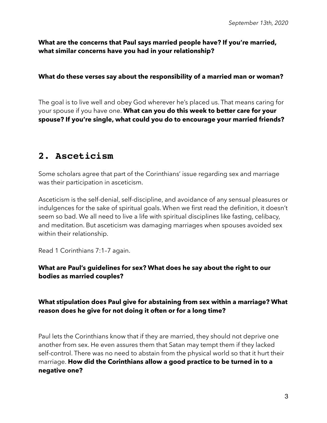**What are the concerns that Paul says married people have? If you're married, what similar concerns have you had in your relationship?** 

#### **What do these verses say about the responsibility of a married man or woman?**

The goal is to live well and obey God wherever he's placed us. That means caring for your spouse if you have one. **What can you do this week to better care for your spouse? If you're single, what could you do to encourage your married friends?** 

## **2. Asceticism**

Some scholars agree that part of the Corinthians' issue regarding sex and marriage was their participation in asceticism.

Asceticism is the self-denial, self-discipline, and avoidance of any sensual pleasures or indulgences for the sake of spiritual goals. When we first read the definition, it doesn't seem so bad. We all need to live a life with spiritual disciplines like fasting, celibacy, and meditation. But asceticism was damaging marriages when spouses avoided sex within their relationship.

Read 1 Corinthians 7:1–7 again.

### **What are Paul's guidelines for sex? What does he say about the right to our bodies as married couples?**

### **What stipulation does Paul give for abstaining from sex within a marriage? What reason does he give for not doing it often or for a long time?**

Paul lets the Corinthians know that if they are married, they should not deprive one another from sex. He even assures them that Satan may tempt them if they lacked self-control. There was no need to abstain from the physical world so that it hurt their marriage. **How did the Corinthians allow a good practice to be turned in to a negative one?**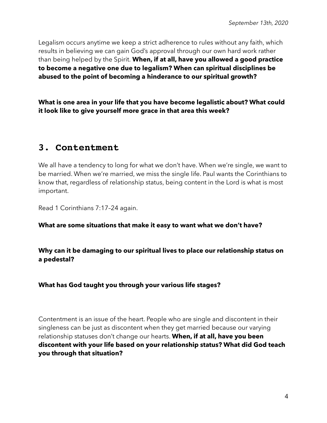Legalism occurs anytime we keep a strict adherence to rules without any faith, which results in believing we can gain God's approval through our own hard work rather than being helped by the Spirit. **When, if at all, have you allowed a good practice to become a negative one due to legalism? When can spiritual disciplines be abused to the point of becoming a hinderance to our spiritual growth?** 

**What is one area in your life that you have become legalistic about? What could it look like to give yourself more grace in that area this week?** 

## **3. Contentment**

We all have a tendency to long for what we don't have. When we're single, we want to be married. When we're married, we miss the single life. Paul wants the Corinthians to know that, regardless of relationship status, being content in the Lord is what is most important.

Read 1 Corinthians 7:17–24 again.

#### **What are some situations that make it easy to want what we don't have?**

**Why can it be damaging to our spiritual lives to place our relationship status on a pedestal?** 

**What has God taught you through your various life stages?** 

Contentment is an issue of the heart. People who are single and discontent in their singleness can be just as discontent when they get married because our varying relationship statuses don't change our hearts. **When, if at all, have you been discontent with your life based on your relationship status? What did God teach you through that situation?**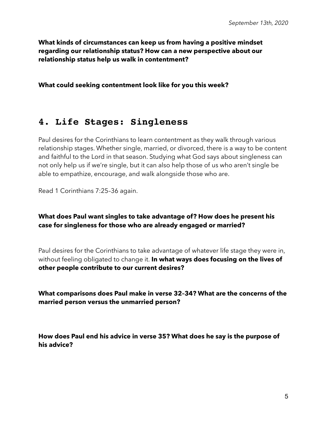**What kinds of circumstances can keep us from having a positive mindset regarding our relationship status? How can a new perspective about our relationship status help us walk in contentment?** 

**What could seeking contentment look like for you this week?** 

# **4. Life Stages: Singleness**

Paul desires for the Corinthians to learn contentment as they walk through various relationship stages. Whether single, married, or divorced, there is a way to be content and faithful to the Lord in that season. Studying what God says about singleness can not only help us if we're single, but it can also help those of us who aren't single be able to empathize, encourage, and walk alongside those who are.

Read 1 Corinthians 7:25–36 again.

### **What does Paul want singles to take advantage of? How does he present his case for singleness for those who are already engaged or married?**

Paul desires for the Corinthians to take advantage of whatever life stage they were in, without feeling obligated to change it. **In what ways does focusing on the lives of other people contribute to our current desires?** 

**What comparisons does Paul make in verse 32–34? What are the concerns of the married person versus the unmarried person?** 

**How does Paul end his advice in verse 35? What does he say is the purpose of his advice?**